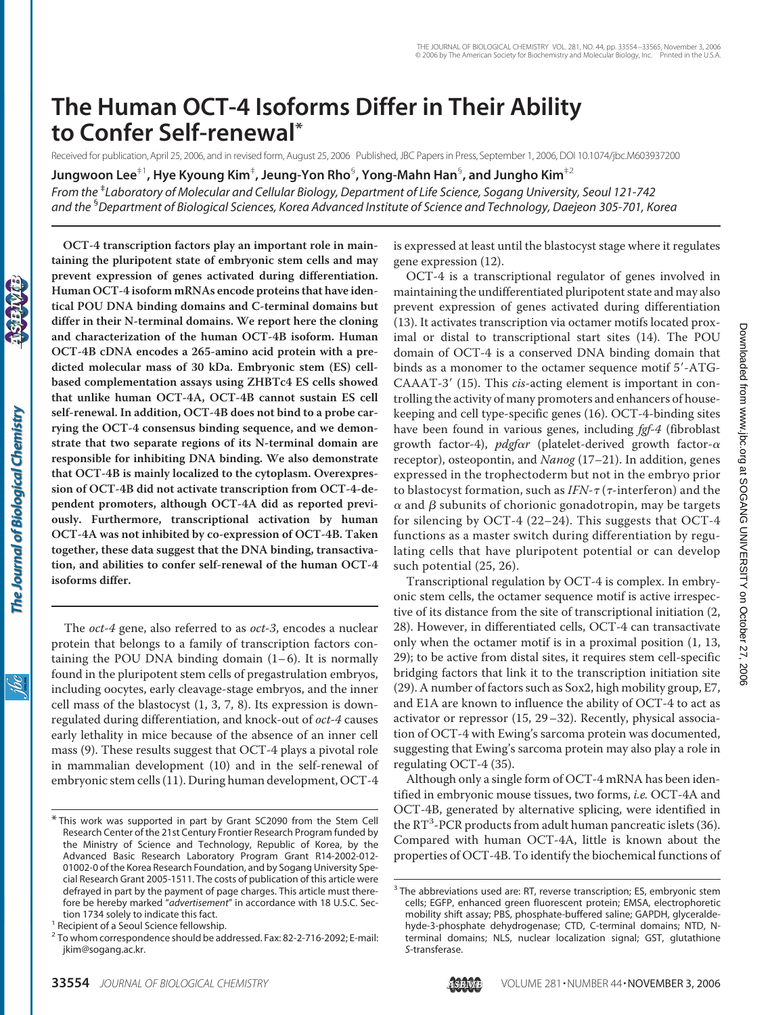# **The Human OCT-4 Isoforms Differ in Their Ability to Confer Self-renewal\***

Received for publication, April 25, 2006, and in revised form, August 25, 2006 Published, JBC Papers in Press, September 1, 2006, DOI 10.1074/jbc.M603937200

**Jungwoon Lee**‡1**, Hye Kyoung Kim**‡ **, Jeung-Yon Rho**§ **, Yong-Mahn Han**§ **, and Jungho Kim**‡2

*From the* ‡ *Laboratory of Molecular and Cellular Biology, Department of Life Science, Sogang University, Seoul 121-742 and the* § *Department of Biological Sciences, Korea Advanced Institute of Science and Technology, Daejeon 305-701, Korea*

**OCT-4 transcription factors play an important role in maintaining the pluripotent state of embryonic stem cells and may prevent expression of genes activated during differentiation. Human OCT-4 isoform mRNAs encode proteins that have identical POU DNA binding domains and C-terminal domains but differ in their N-terminal domains. We report here the cloning and characterization of the human OCT-4B isoform. Human OCT-4B cDNA encodes a 265-amino acid protein with a predicted molecular mass of 30 kDa. Embryonic stem (ES) cellbased complementation assays using ZHBTc4 ES cells showed that unlike human OCT-4A, OCT-4B cannot sustain ES cell self-renewal. In addition, OCT-4B does not bind to a probe carrying the OCT-4 consensus binding sequence, and we demonstrate that two separate regions of its N-terminal domain are responsible for inhibiting DNA binding. We also demonstrate that OCT-4B is mainly localized to the cytoplasm. Overexpression of OCT-4B did not activate transcription from OCT-4-dependent promoters, although OCT-4A did as reported previously. Furthermore, transcriptional activation by human OCT-4A was not inhibited by co-expression of OCT-4B. Taken together, these data suggest that the DNA binding, transactivation, and abilities to confer self-renewal of the human OCT-4 isoforms differ.**

The *oct-4* gene, also referred to as *oct-3*, encodes a nuclear protein that belongs to a family of transcription factors containing the POU DNA binding domain  $(1-6)$ . It is normally found in the pluripotent stem cells of pregastrulation embryos, including oocytes, early cleavage-stage embryos, and the inner cell mass of the blastocyst (1, 3, 7, 8). Its expression is downregulated during differentiation, and knock-out of *oct-4* causes early lethality in mice because of the absence of an inner cell mass (9). These results suggest that OCT-4 plays a pivotal role in mammalian development (10) and in the self-renewal of embryonic stem cells (11). During human development, OCT-4

is expressed at least until the blastocyst stage where it regulates gene expression (12).

OCT-4 is a transcriptional regulator of genes involved in maintaining the undifferentiated pluripotent state and may also prevent expression of genes activated during differentiation (13). It activates transcription via octamer motifs located proximal or distal to transcriptional start sites (14). The POU domain of OCT-4 is a conserved DNA binding domain that binds as a monomer to the octamer sequence motif 5'-ATG-CAAAT-3 (15). This *cis*-acting element is important in controlling the activity of many promoters and enhancers of housekeeping and cell type-specific genes (16). OCT-4-binding sites have been found in various genes, including *fgf-4* (fibroblast growth factor-4),  $pdgfar$  (platelet-derived growth factor- $\alpha$ receptor), osteopontin, and *Nanog* (17–21). In addition, genes expressed in the trophectoderm but not in the embryo prior to blastocyst formation, such as *IFN-τ* (τ-interferon) and the  $\alpha$  and  $\beta$  subunits of chorionic gonadotropin, may be targets for silencing by OCT-4 (22–24). This suggests that OCT-4 functions as a master switch during differentiation by regulating cells that have pluripotent potential or can develop such potential (25, 26).

Downloaded from www.jbc.org at SOGANG UNIVERSITY on October 27, 2006 at SOGANG UNIVERSITY on October 27, 2006 [www.jbc.org](http://www.jbc.org) Downloaded from

Transcriptional regulation by OCT-4 is complex. In embryonic stem cells, the octamer sequence motif is active irrespective of its distance from the site of transcriptional initiation (2, 28). However, in differentiated cells, OCT-4 can transactivate only when the octamer motif is in a proximal position (1, 13, 29); to be active from distal sites, it requires stem cell-specific bridging factors that link it to the transcription initiation site (29). A number of factors such as Sox2, high mobility group, E7, and E1A are known to influence the ability of OCT-4 to act as activator or repressor (15, 29–32). Recently, physical association of OCT-4 with Ewing's sarcoma protein was documented, suggesting that Ewing's sarcoma protein may also play a role in regulating OCT-4 (35).

Although only a single form of OCT-4 mRNA has been identified in embryonic mouse tissues, two forms, *i.e.* OCT-4A and OCT-4B, generated by alternative splicing, were identified in the RT<sup>3</sup>-PCR products from adult human pancreatic islets (36). Compared with human OCT-4A, little is known about the properties of OCT-4B. To identify the biochemical functions of

<sup>\*</sup> This work was supported in part by Grant SC2090 from the Stem Cell Research Center of the 21st Century Frontier Research Program funded by the Ministry of Science and Technology, Republic of Korea, by the Advanced Basic Research Laboratory Program Grant R14-2002-012- 01002-0 of the Korea Research Foundation, and by Sogang University Special Research Grant 2005-1511. The costs of publication of this article were defrayed in part by the payment of page charges. This article must therefore be hereby marked "*advertisement*" in accordance with 18 U.S.C. Section 1734 solely to indicate this fact.<br><sup>1</sup> Recipient of a Seoul Science fellowship.

<sup>2</sup> To whom correspondence should be addressed. Fax: 82-2-716-2092; E-mail: jkim@sogang.ac.kr.

<sup>&</sup>lt;sup>3</sup> The abbreviations used are: RT, reverse transcription; ES, embryonic stem cells; EGFP, enhanced green fluorescent protein; EMSA, electrophoretic mobility shift assay; PBS, phosphate-buffered saline; GAPDH, glyceraldehyde-3-phosphate dehydrogenase; CTD, C-terminal domains; NTD, Nterminal domains; NLS, nuclear localization signal; GST, glutathione *S*-transferase.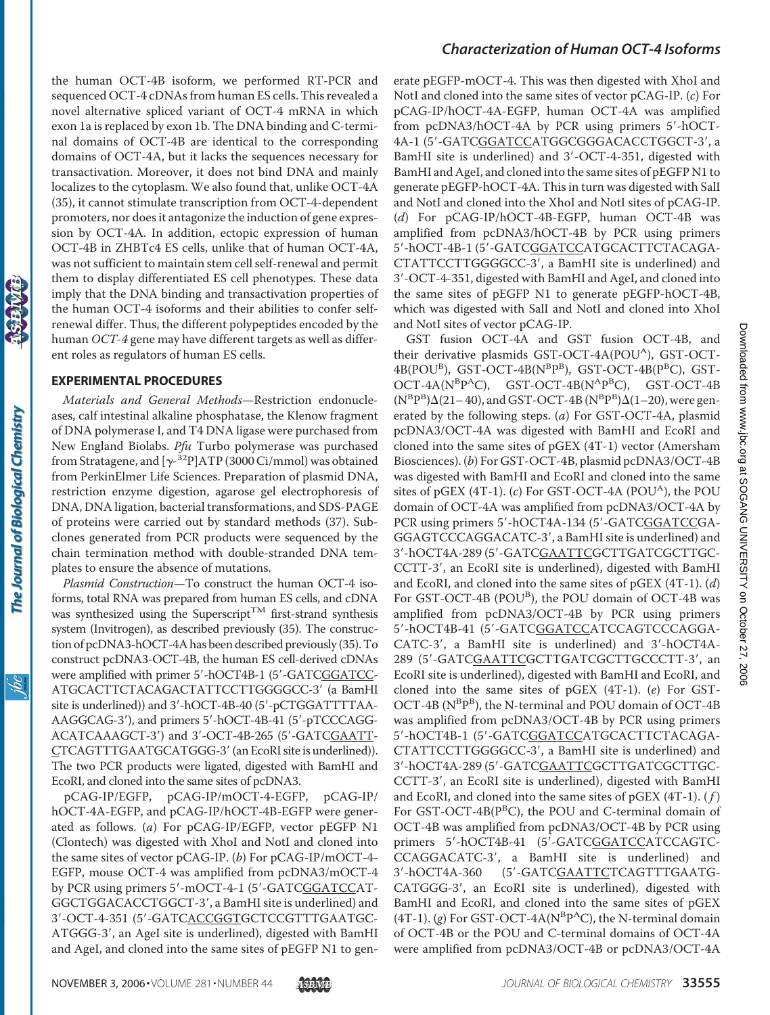the human OCT-4B isoform, we performed RT-PCR and sequenced OCT-4 cDNAs from human ES cells. This revealed a novel alternative spliced variant of OCT-4 mRNA in which exon 1a is replaced by exon 1b. The DNA binding and C-terminal domains of OCT-4B are identical to the corresponding domains of OCT-4A, but it lacks the sequences necessary for transactivation. Moreover, it does not bind DNA and mainly localizes to the cytoplasm. We also found that, unlike OCT-4A (35), it cannot stimulate transcription from OCT-4-dependent promoters, nor does it antagonize the induction of gene expression by OCT-4A. In addition, ectopic expression of human OCT-4B in ZHBTc4 ES cells, unlike that of human OCT-4A, was not sufficient to maintain stem cell self-renewal and permit them to display differentiated ES cell phenotypes. These data imply that the DNA binding and transactivation properties of the human OCT-4 isoforms and their abilities to confer selfrenewal differ. Thus, the different polypeptides encoded by the human *OCT-4* gene may have different targets as well as different roles as regulators of human ES cells.

### **EXPERIMENTAL PROCEDURES**

*Materials and General Methods*—Restriction endonucleases, calf intestinal alkaline phosphatase, the Klenow fragment of DNA polymerase I, and T4 DNA ligase were purchased from New England Biolabs. *Pfu* Turbo polymerase was purchased from Stratagene, and  $[\gamma$ <sup>32</sup>P]ATP (3000 Ci/mmol) was obtained from PerkinElmer Life Sciences. Preparation of plasmid DNA, restriction enzyme digestion, agarose gel electrophoresis of DNA, DNA ligation, bacterial transformations, and SDS-PAGE of proteins were carried out by standard methods (37). Subclones generated from PCR products were sequenced by the chain termination method with double-stranded DNA templates to ensure the absence of mutations.

*Plasmid Construction*—To construct the human OCT-4 isoforms, total RNA was prepared from human ES cells, and cDNA was synthesized using the Superscript<sup>TM</sup> first-strand synthesis system (Invitrogen), as described previously (35). The construction of pcDNA3-hOCT-4A has been described previously (35). To construct pcDNA3-OCT-4B, the human ES cell-derived cDNAs were amplified with primer 5'-hOCT4B-1 (5'-GATCGGATCC-ATGCACTTCTACAGACTATTCCTTGGGGCC-3 (a BamHI site is underlined)) and 3'-hOCT-4B-40 (5'-pCTGGATTTTAA-AAGGCAG-3'), and primers 5'-hOCT-4B-41 (5'-pTCCCAGG-ACATCAAAGCT-3') and 3'-OCT-4B-265 (5'-GATCGAATT-CTCAGTTTGAATGCATGGG-3' (an EcoRI site is underlined)). The two PCR products were ligated, digested with BamHI and EcoRI, and cloned into the same sites of pcDNA3.

pCAG-IP/EGFP, pCAG-IP/mOCT-4-EGFP, pCAG-IP/ hOCT-4A-EGFP, and pCAG-IP/hOCT-4B-EGFP were generated as follows. (*a*) For pCAG-IP/EGFP, vector pEGFP N1 (Clontech) was digested with XhoI and NotI and cloned into the same sites of vector pCAG-IP. (*b*) For pCAG-IP/mOCT-4- EGFP, mouse OCT-4 was amplified from pcDNA3/mOCT-4 by PCR using primers 5'-mOCT-4-1 (5'-GATCGGATCCAT-GGCTGGACACCTGGCT-3', a BamHI site is underlined) and 3-OCT-4-351 (5-GATCACCGGTGCTCCGTTTGAATGC-ATGGG-3', an AgeI site is underlined), digested with BamHI and AgeI, and cloned into the same sites of pEGFP N1 to gen-

# *Characterization of Human OCT-4 Isoforms*

erate pEGFP-mOCT-4. This was then digested with XhoI and NotI and cloned into the same sites of vector pCAG-IP. (*c*) For pCAG-IP/hOCT-4A-EGFP, human OCT-4A was amplified from pcDNA3/hOCT-4A by PCR using primers 5'-hOCT-4A-1 (5'-GATCGGATCCATGGCGGGACACCTGGCT-3', a BamHI site is underlined) and 3-OCT-4-351, digested with BamHI and AgeI, and cloned into the same sites of pEGFP N1 to generate pEGFP-hOCT-4A. This in turn was digested with SalI and NotI and cloned into the XhoI and NotI sites of pCAG-IP. (*d*) For pCAG-IP/hOCT-4B-EGFP, human OCT-4B was amplified from pcDNA3/hOCT-4B by PCR using primers 5-hOCT-4B-1 (5-GATCGGATCCATGCACTTCTACAGA-CTATTCCTTGGGGCC-3, a BamHI site is underlined) and 3-OCT-4-351, digested with BamHI and AgeI, and cloned into the same sites of pEGFP N1 to generate pEGFP-hOCT-4B, which was digested with SalI and NotI and cloned into XhoI and NotI sites of vector pCAG-IP.

GST fusion OCT-4A and GST fusion OCT-4B, and their derivative plasmids GST-OCT-4A(POU<sup>A</sup>), GST-OCT- $4B(POU^B)$ , GST-OCT- $4B(N^B P^B)$ , GST-OCT- $4B(P^B C)$ , GST- $OCT-4A(N^{B}P^{A}C)$ ,  $GST-OCT-4B(N^{A}P^{B}C)$ ,  $GST-OCT-4B$  $(N^{B}P^{B})\Delta(21-40)$ , and GST-OCT-4B  $(N^{B}P^{B})\Delta(1-20)$ , were generated by the following steps. (*a*) For GST-OCT-4A, plasmid pcDNA3/OCT-4A was digested with BamHI and EcoRI and cloned into the same sites of pGEX (4T-1) vector (Amersham Biosciences). (*b*) For GST-OCT-4B, plasmid pcDNA3/OCT-4B was digested with BamHI and EcoRI and cloned into the same sites of pGEX  $(4T-1)$ .  $(c)$  For GST-OCT-4A  $(POU<sup>A</sup>)$ , the POU domain of OCT-4A was amplified from pcDNA3/OCT-4A by PCR using primers 5'-hOCT4A-134 (5'-GATCGGATCCGA-GGAGTCCCAGGACATC-3', a BamHI site is underlined) and 3'-hOCT4A-289 (5'-GATCGAATTCGCTTGATCGCTTGC-CCTT-3', an EcoRI site is underlined), digested with BamHI and EcoRI, and cloned into the same sites of pGEX (4T-1). (*d*) For GST-OCT-4B (POU<sup>B</sup>), the POU domain of OCT-4B was amplified from pcDNA3/OCT-4B by PCR using primers 5'-hOCT4B-41 (5'-GATCGGATCCATCCAGTCCCAGGA-CATC-3', a BamHI site is underlined) and 3'-hOCT4A-289 (5'-GATCGAATTCGCTTGATCGCTTGCCCTT-3', an EcoRI site is underlined), digested with BamHI and EcoRI, and cloned into the same sites of pGEX (4T-1). (*e*) For GST-OCT-4B (N<sup>B</sup>P<sup>B</sup>), the N-terminal and POU domain of OCT-4B was amplified from pcDNA3/OCT-4B by PCR using primers 5-hOCT4B-1 (5-GATCGGATCCATGCACTTCTACAGA-CTATTCCTTGGGGCC-3, a BamHI site is underlined) and 3'-hOCT4A-289 (5'-GATCGAATTCGCTTGATCGCTTGC-CCTT-3', an EcoRI site is underlined), digested with BamHI and EcoRI, and cloned into the same sites of pGEX (4T-1). ( *f* ) For GST-OCT-4B(P<sup>B</sup>C), the POU and C-terminal domain of OCT-4B was amplified from pcDNA3/OCT-4B by PCR using primers 5'-hOCT4B-41 (5'-GATCGGATCCATCCAGTC-CCAGGACATC-3, a BamHI site is underlined) and 3'-hOCT4A-360 (5'-GATCGAATTCTCAGTTTGAATG-CATGGG-3, an EcoRI site is underlined), digested with BamHI and EcoRI, and cloned into the same sites of pGEX  $(4T-1)$ . (g) For GST-OCT-4A(N<sup>B</sup>P<sup>A</sup>C), the N-terminal domain of OCT-4B or the POU and C-terminal domains of OCT-4A were amplified from pcDNA3/OCT-4B or pcDNA3/OCT-4A

<u>ibc</u>

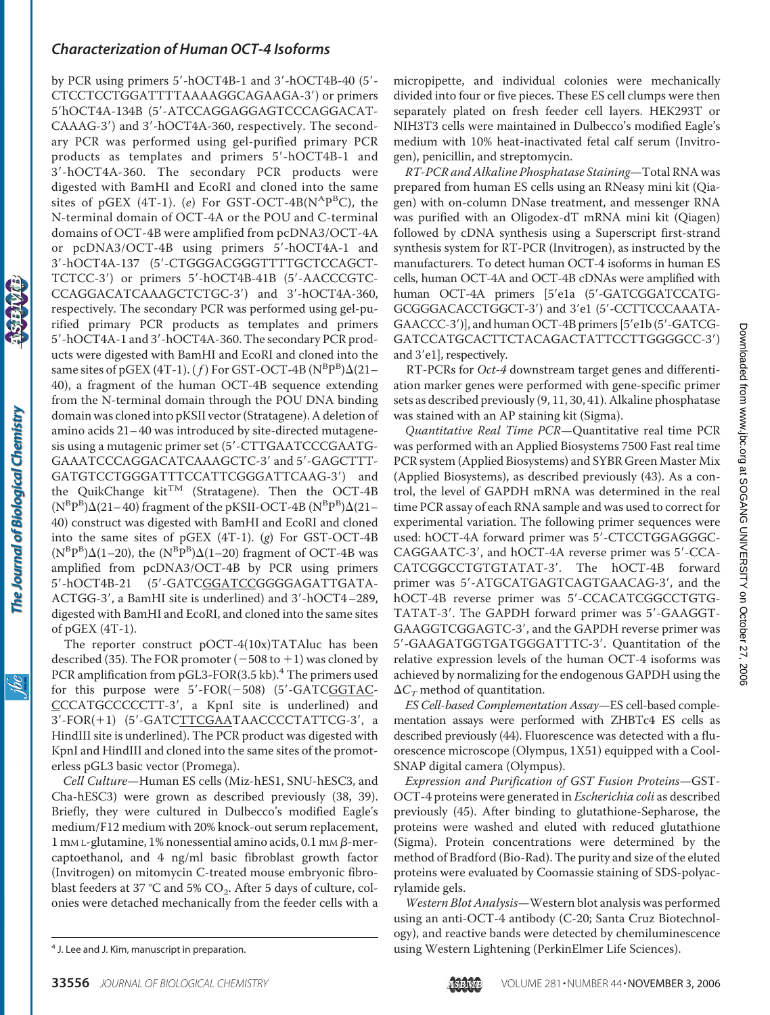by PCR using primers  $5'$ -hOCT4B-1 and  $3'$ -hOCT4B-40 ( $5'$ -CTCCTCCTGGATTTTAAAAGGCAGAAGA-3) or primers 5hOCT4A-134B (5-ATCCAGGAGGAGTCCCAGGACAT-CAAAG-3) and 3-hOCT4A-360, respectively. The secondary PCR was performed using gel-purified primary PCR products as templates and primers 5'-hOCT4B-1 and 3-hOCT4A-360. The secondary PCR products were digested with BamHI and EcoRI and cloned into the same sites of pGEX (4T-1). (e) For GST-OCT-4B(N<sup>A</sup>P<sup>B</sup>C), the N-terminal domain of OCT-4A or the POU and C-terminal domains of OCT-4B were amplified from pcDNA3/OCT-4A or pcDNA3/OCT-4B using primers 5'-hOCT4A-1 and 3-hOCT4A-137 (5-CTGGGACGGGTTTTGCTCCAGCT-TCTCC-3') or primers 5'-hOCT4B-41B (5'-AACCCGTC-CCAGGACATCAAAGCTCTGC-3) and 3-hOCT4A-360, respectively. The secondary PCR was performed using gel-purified primary PCR products as templates and primers 5'-hOCT4A-1 and 3'-hOCT4A-360. The secondary PCR products were digested with BamHI and EcoRI and cloned into the same sites of pGEX (4T-1). (*f*) For GST-OCT-4B ( $N^{\rm B}P^{\rm B}$ ) $\Delta$ (21– 40), a fragment of the human OCT-4B sequence extending from the N-terminal domain through the POU DNA binding domain was cloned into pKSII vector (Stratagene). A deletion of amino acids 21– 40 was introduced by site-directed mutagenesis using a mutagenic primer set (5-CTTGAATCCCGAATG-GAAATCCCAGGACATCAAAGCTC-3' and 5'-GAGCTTT-GATGTCCTGGGATTTCCATTCGGGATTCAAG-3) and the QuikChange kit<sup>TM</sup> (Stratagene). Then the OCT-4B  $(N^{B}P^{B})\Delta(21-40)$  fragment of the pKSII-OCT-4B  $(N^{B}P^{B})\Delta(21-$ 40) construct was digested with BamHI and EcoRI and cloned into the same sites of pGEX (4T-1). (*g*) For GST-OCT-4B  $(N^{B}P^{B})\Delta(1-20)$ , the  $(N^{B}P^{B})\Delta(1-20)$  fragment of OCT-4B was amplified from pcDNA3/OCT-4B by PCR using primers 5'-hOCT4B-21 (5'-GATCGGATCCGGGGAGATTGATA-ACTGG-3', a BamHI site is underlined) and 3'-hOCT4-289, digested with BamHI and EcoRI, and cloned into the same sites of pGEX (4T-1).

The reporter construct pOCT-4(10x)TATAluc has been described (35). The FOR promoter  $(-508 \text{ to } +1)$  was cloned by PCR amplification from pGL3-FOR(3.5 kb).<sup>4</sup> The primers used for this purpose were  $5'$ -FOR( $-508$ ) ( $5'$ -GATCGGTAC-CCCATGCCCCCTT-3, a KpnI site is underlined) and 3'-FOR(+1) (5'-GATCTTCGAATAACCCCTATTCG-3', a HindIII site is underlined). The PCR product was digested with KpnI and HindIII and cloned into the same sites of the promoterless pGL3 basic vector (Promega).

*Cell Culture*—Human ES cells (Miz-hES1, SNU-hESC3, and Cha-hESC3) were grown as described previously (38, 39). Briefly, they were cultured in Dulbecco's modified Eagle's medium/F12 medium with 20% knock-out serum replacement,  $1$  mM L-glutamine, 1% nonessential amino acids, 0.1 mM  $\beta$ -mercaptoethanol, and 4 ng/ml basic fibroblast growth factor (Invitrogen) on mitomycin C-treated mouse embryonic fibroblast feeders at 37 °C and 5%  $CO<sub>2</sub>$ . After 5 days of culture, colonies were detached mechanically from the feeder cells with a

micropipette, and individual colonies were mechanically divided into four or five pieces. These ES cell clumps were then separately plated on fresh feeder cell layers. HEK293T or NIH3T3 cells were maintained in Dulbecco's modified Eagle's medium with 10% heat-inactivated fetal calf serum (Invitrogen), penicillin, and streptomycin.

*RT-PCR and Alkaline Phosphatase Staining*—Total RNA was prepared from human ES cells using an RNeasy mini kit (Qiagen) with on-column DNase treatment, and messenger RNA was purified with an Oligodex-dT mRNA mini kit (Qiagen) followed by cDNA synthesis using a Superscript first-strand synthesis system for RT-PCR (Invitrogen), as instructed by the manufacturers. To detect human OCT-4 isoforms in human ES cells, human OCT-4A and OCT-4B cDNAs were amplified with human OCT-4A primers [5'e1a (5'-GATCGGATCCATG-GCGGGACACCTGGCT-3') and 3'e1 (5'-CCTTCCCAAATA-GAACCC-3')], and human OCT-4B primers [5'e1b (5'-GATCG-GATCCATGCACTTCTACAGACTATTCCTTGGGGCC-3) and 3'e1], respectively.

RT-PCRs for *Oct-4* downstream target genes and differentiation marker genes were performed with gene-specific primer sets as described previously (9, 11, 30, 41). Alkaline phosphatase was stained with an AP staining kit (Sigma).

*Quantitative Real Time PCR*—Quantitative real time PCR was performed with an Applied Biosystems 7500 Fast real time PCR system (Applied Biosystems) and SYBR Green Master Mix (Applied Biosystems), as described previously (43). As a control, the level of GAPDH mRNA was determined in the real time PCR assay of each RNA sample and was used to correct for experimental variation. The following primer sequences were used: hOCT-4A forward primer was 5'-CTCCTGGAGGGC-CAGGAATC-3, and hOCT-4A reverse primer was 5-CCA-CATCGGCCTGTGTATAT-3. The hOCT-4B forward primer was 5'-ATGCATGAGTCAGTGAACAG-3', and the hOCT-4B reverse primer was 5'-CCACATCGGCCTGTG-TATAT-3'. The GAPDH forward primer was 5'-GAAGGT-GAAGGTCGGAGTC-3, and the GAPDH reverse primer was 5-GAAGATGGTGATGGGATTTC-3. Quantitation of the relative expression levels of the human OCT-4 isoforms was achieved by normalizing for the endogenous GAPDH using the  $\Delta C_T$  method of quantitation.

*ES Cell-based Complementation Assay*—ES cell-based complementation assays were performed with ZHBTc4 ES cells as described previously (44). Fluorescence was detected with a fluorescence microscope (Olympus, 1X51) equipped with a Cool-SNAP digital camera (Olympus).

*Expression and Purification of GST Fusion Proteins*—GST-OCT-4 proteins were generated in *Escherichia coli* as described previously (45). After binding to glutathione-Sepharose, the proteins were washed and eluted with reduced glutathione (Sigma). Protein concentrations were determined by the method of Bradford (Bio-Rad). The purity and size of the eluted proteins were evaluated by Coomassie staining of SDS-polyacrylamide gels.

*Western Blot Analysis*—Western blot analysis was performed using an anti-OCT-4 antibody (C-20; Santa Cruz Biotechnology), and reactive bands were detected by chemiluminescence using Western Lightening (PerkinElmer Life Sciences). <sup>4</sup> J. Lee and J. Kim, manuscript in preparation.

The Journal of Biological Chemistry

<u>ibc</u>

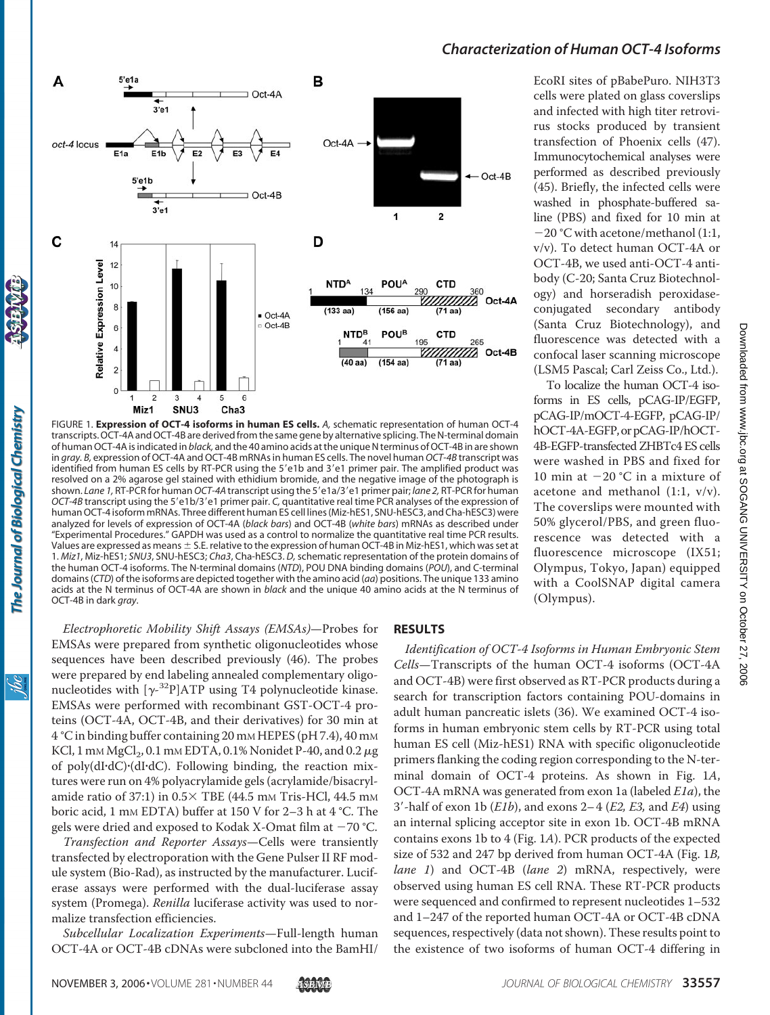

FIGURE 1. **Expression of OCT-4 isoforms in human ES cells.** *A,* schematic representation of human OCT-4 transcripts. OCT-4A and OCT-4B are derived from the same gene by alternative splicing. The N-terminal domain of human OCT-4A is indicated in *black,* and the 40 amino acids at the unique N terminus of OCT-4B in are shown in *gray. B,* expression of OCT-4A and OCT-4B mRNAs in human ES cells. The novel human*OCT-4B* transcript was identified from human ES cells by RT-PCR using the 5'e1b and 3'e1 primer pair. The amplified product was resolved on a 2% agarose gel stained with ethidium bromide, and the negative image of the photograph is shown. *Lane 1*, RT-PCR for human *OCT-4A* transcript using the 5'e1a/3'e1 primer pair; *lane 2*, RT-PCR for human *OCT-4B* transcript using the 5'e1b/3'e1 primer pair. *C*, quantitative real time PCR analyses of the expression of human OCT-4 isoform mRNAs. Three different human ES cell lines (Miz-hES1, SNU-hESC3, and Cha-hESC3) were analyzed for levels of expression of OCT-4A (*black bars*) and OCT-4B (*white bars*) mRNAs as described under "Experimental Procedures." GAPDH was used as a control to normalize the quantitative real time PCR results. Values are expressed as means  $\pm$  S.E. relative to the expression of human OCT-4B in Miz-hES1, which was set at 1. *Miz1*, Miz-hES1; *SNU3*, SNU-hESC3; *Cha3*, Cha-hESC3. *D,*schematic representation of the protein domains of the human OCT-4 isoforms. The N-terminal domains (*NTD*), POU DNA binding domains (*POU*), and C-terminal domains (*CTD*) of the isoforms are depicted together with the amino acid (*aa*) positions. The unique 133 amino acids at the N terminus of OCT-4A are shown in *black* and the unique 40 amino acids at the N terminus of OCT-4B in dark *gray*.

EcoRI sites of pBabePuro. NIH3T3 cells were plated on glass coverslips and infected with high titer retrovirus stocks produced by transient transfection of Phoenix cells (47). Immunocytochemical analyses were performed as described previously (45). Briefly, the infected cells were washed in phosphate-buffered saline (PBS) and fixed for 10 min at  $-20$  °C with acetone/methanol (1:1, v/v). To detect human OCT-4A or OCT-4B, we used anti-OCT-4 antibody (C-20; Santa Cruz Biotechnology) and horseradish peroxidaseconjugated secondary antibody (Santa Cruz Biotechnology), and fluorescence was detected with a confocal laser scanning microscope (LSM5 Pascal; Carl Zeiss Co., Ltd.).

To localize the human OCT-4 isoforms in ES cells, pCAG-IP/EGFP, pCAG-IP/mOCT-4-EGFP, pCAG-IP/ hOCT-4A-EGFP, or pCAG-IP/hOCT-4B-EGFP-transfected ZHBTc4 ES cells were washed in PBS and fixed for 10 min at  $-20$  °C in a mixture of acetone and methanol  $(1:1, v/v)$ . The coverslips were mounted with 50% glycerol/PBS, and green fluorescence was detected with a fluorescence microscope (IX51; Olympus, Tokyo, Japan) equipped with a CoolSNAP digital camera (Olympus).

<u>івс</u>

*Electrophoretic Mobility Shift Assays (EMSAs)*—Probes for EMSAs were prepared from synthetic oligonucleotides whose sequences have been described previously (46). The probes were prepared by end labeling annealed complementary oligonucleotides with  $[\gamma^{-32}P]$ ATP using T4 polynucleotide kinase. EMSAs were performed with recombinant GST-OCT-4 proteins (OCT-4A, OCT-4B, and their derivatives) for 30 min at 4 °C in binding buffer containing 20 mM HEPES (pH 7.4), 40 mM KCl,  $1 \text{mm MgCl}_2$ ,  $0.1 \text{mm EDTA}$ ,  $0.1\%$  Nonidet P-40, and  $0.2 \mu$ g of poly(dI·dC)·(dI·dC). Following binding, the reaction mixtures were run on 4% polyacrylamide gels (acrylamide/bisacrylamide ratio of 37:1) in  $0.5 \times$  TBE (44.5 mm Tris-HCl, 44.5 mm boric acid, 1 mm EDTA) buffer at 150 V for 2–3 h at 4 °C. The gels were dried and exposed to Kodak X-Omat film at  $-70$  °C.

*Transfection and Reporter Assays*—Cells were transiently transfected by electroporation with the Gene Pulser II RF module system (Bio-Rad), as instructed by the manufacturer. Luciferase assays were performed with the dual-luciferase assay system (Promega). *Renilla* luciferase activity was used to normalize transfection efficiencies.

*Subcellular Localization Experiments*—Full-length human OCT-4A or OCT-4B cDNAs were subcloned into the BamHI/

# **RESULTS**

*Identification of OCT-4 Isoforms in Human Embryonic Stem Cells*—Transcripts of the human OCT-4 isoforms (OCT-4A and OCT-4B) were first observed as RT-PCR products during a search for transcription factors containing POU-domains in adult human pancreatic islets (36). We examined OCT-4 isoforms in human embryonic stem cells by RT-PCR using total human ES cell (Miz-hES1) RNA with specific oligonucleotide primers flanking the coding region corresponding to the N-terminal domain of OCT-4 proteins. As shown in Fig. 1*A*, OCT-4A mRNA was generated from exon 1a (labeled *E1a*), the 3-half of exon 1b (*E1b*), and exons 2– 4 (*E2, E3,* and *E4*) using an internal splicing acceptor site in exon 1b. OCT-4B mRNA contains exons 1b to 4 (Fig. 1*A*). PCR products of the expected size of 532 and 247 bp derived from human OCT-4A (Fig. 1*B, lane 1*) and OCT-4B (*lane 2*) mRNA, respectively, were observed using human ES cell RNA. These RT-PCR products were sequenced and confirmed to represent nucleotides 1–532 and 1–247 of the reported human OCT-4A or OCT-4B cDNA sequences, respectively (data not shown). These results point to the existence of two isoforms of human OCT-4 differing in

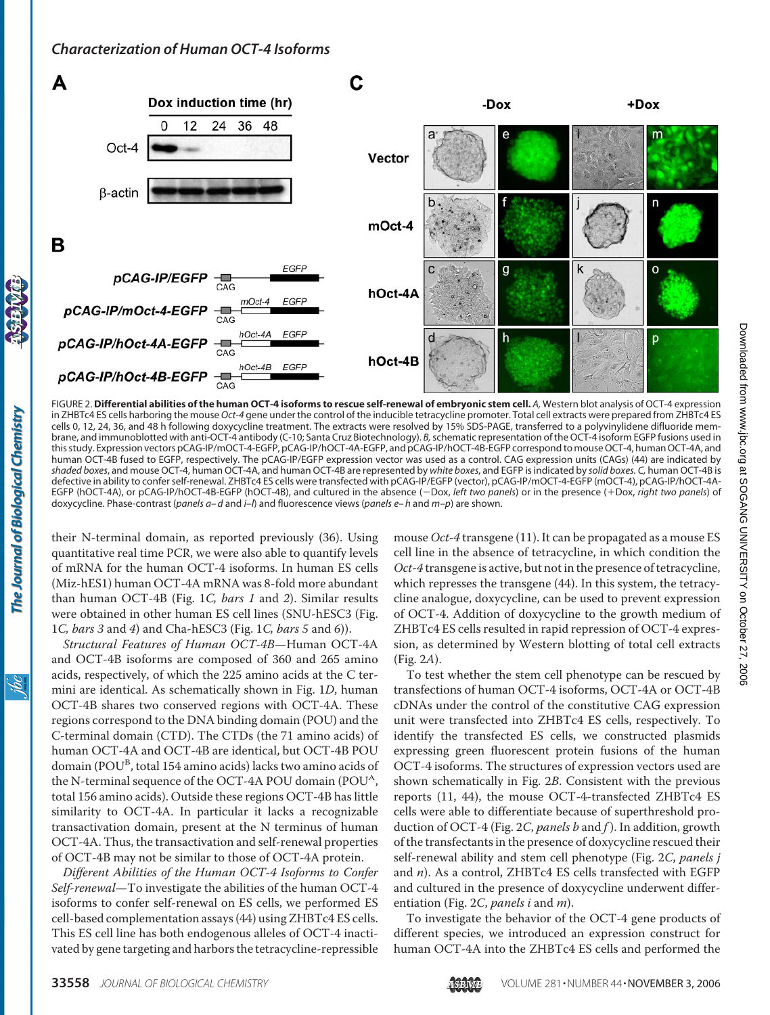

FIGURE 2. **Differential abilities of the human OCT-4 isoforms to rescue self-renewal of embryonic stem cell.** *A,* Western blot analysis of OCT-4 expression in ZHBTc4 ES cells harboring the mouse *Oct-4* gene under the control of the inducible tetracycline promoter. Total cell extracts were prepared from ZHBTc4 ES cells 0, 12, 24, 36, and 48 h following doxycycline treatment. The extracts were resolved by 15% SDS-PAGE, transferred to a polyvinylidene difluoride membrane, and immunoblotted with anti-OCT-4 antibody (C-10; Santa Cruz Biotechnology). *B,*schematic representation of the OCT-4 isoform EGFP fusions used in this study. Expression vectors pCAG-IP/mOCT-4-EGFP, pCAG-IP/hOCT-4A-EGFP, and pCAG-IP/hOCT-4B-EGFP correspond to mouse OCT-4, human OCT-4A, and human OCT-4B fused to EGFP, respectively. The pCAG-IP/EGFP expression vector was used as a control. CAG expression units (CAGs) (44) are indicated by *shaded boxes*, and mouse OCT-4, human OCT-4A, and human OCT-4B are represented by *white boxes*, and EGFP is indicated by *solid boxes. C,* human OCT-4B is defective in ability to confer self-renewal. ZHBTc4 ES cells were transfected with pCAG-IP/EGFP (vector), pCAG-IP/mOCT-4-EGFP (mOCT-4), pCAG-IP/hOCT-4A-EGFP (hOCT-4A), or pCAG-IP/hOCT-4B-EGFP (hOCT-4B), and cultured in the absence (-Dox, *left two panels*) or in the presence (+Dox, *right two panels*) of doxycycline. Phase-contrast (*panels a– d* and *i–l*) and fluorescence views (*panels e– h* and *m–p*) are shown.

their N-terminal domain, as reported previously (36). Using quantitative real time PCR, we were also able to quantify levels of mRNA for the human OCT-4 isoforms. In human ES cells (Miz-hES1) human OCT-4A mRNA was 8-fold more abundant than human OCT-4B (Fig. 1*C, bars 1* and *2*). Similar results were obtained in other human ES cell lines (SNU-hESC3 (Fig. 1*C, bars 3* and *4*) and Cha-hESC3 (Fig. 1*C, bars 5* and *6*)).

*Structural Features of Human OCT-4B*—Human OCT-4A and OCT-4B isoforms are composed of 360 and 265 amino acids, respectively, of which the 225 amino acids at the C termini are identical. As schematically shown in Fig. 1*D*, human OCT-4B shares two conserved regions with OCT-4A. These regions correspond to the DNA binding domain (POU) and the C-terminal domain (CTD). The CTDs (the 71 amino acids) of human OCT-4A and OCT-4B are identical, but OCT-4B POU domain (POU<sup>B</sup>, total 154 amino acids) lacks two amino acids of the N-terminal sequence of the OCT-4A POU domain (POU<sup>A</sup>, total 156 amino acids). Outside these regions OCT-4B has little similarity to OCT-4A. In particular it lacks a recognizable transactivation domain, present at the N terminus of human OCT-4A. Thus, the transactivation and self-renewal properties of OCT-4B may not be similar to those of OCT-4A protein.

*Different Abilities of the Human OCT-4 Isoforms to Confer Self-renewal*—To investigate the abilities of the human OCT-4 isoforms to confer self-renewal on ES cells, we performed ES cell-based complementation assays (44) using ZHBTc4 ES cells. This ES cell line has both endogenous alleles of OCT-4 inactivated by gene targeting and harbors the tetracycline-repressible

mouse *Oct-4* transgene (11). It can be propagated as a mouse ES cell line in the absence of tetracycline, in which condition the *Oct-4* transgene is active, but not in the presence of tetracycline, which represses the transgene (44). In this system, the tetracycline analogue, doxycycline, can be used to prevent expression of OCT-4. Addition of doxycycline to the growth medium of ZHBTc4 ES cells resulted in rapid repression of OCT-4 expression, as determined by Western blotting of total cell extracts (Fig. 2*A*).

To test whether the stem cell phenotype can be rescued by transfections of human OCT-4 isoforms, OCT-4A or OCT-4B cDNAs under the control of the constitutive CAG expression unit were transfected into ZHBTc4 ES cells, respectively. To identify the transfected ES cells, we constructed plasmids expressing green fluorescent protein fusions of the human OCT-4 isoforms. The structures of expression vectors used are shown schematically in Fig. 2*B*. Consistent with the previous reports (11, 44), the mouse OCT-4-transfected ZHBTc4 ES cells were able to differentiate because of superthreshold production of OCT-4 (Fig. 2*C*, *panels b* and *f* ). In addition, growth of the transfectants in the presence of doxycycline rescued their self-renewal ability and stem cell phenotype (Fig. 2*C*, *panels j* and *n*). As a control, ZHBTc4 ES cells transfected with EGFP and cultured in the presence of doxycycline underwent differentiation (Fig. 2*C*, *panels i* and *m*).

To investigate the behavior of the OCT-4 gene products of different species, we introduced an expression construct for human OCT-4A into the ZHBTc4 ES cells and performed the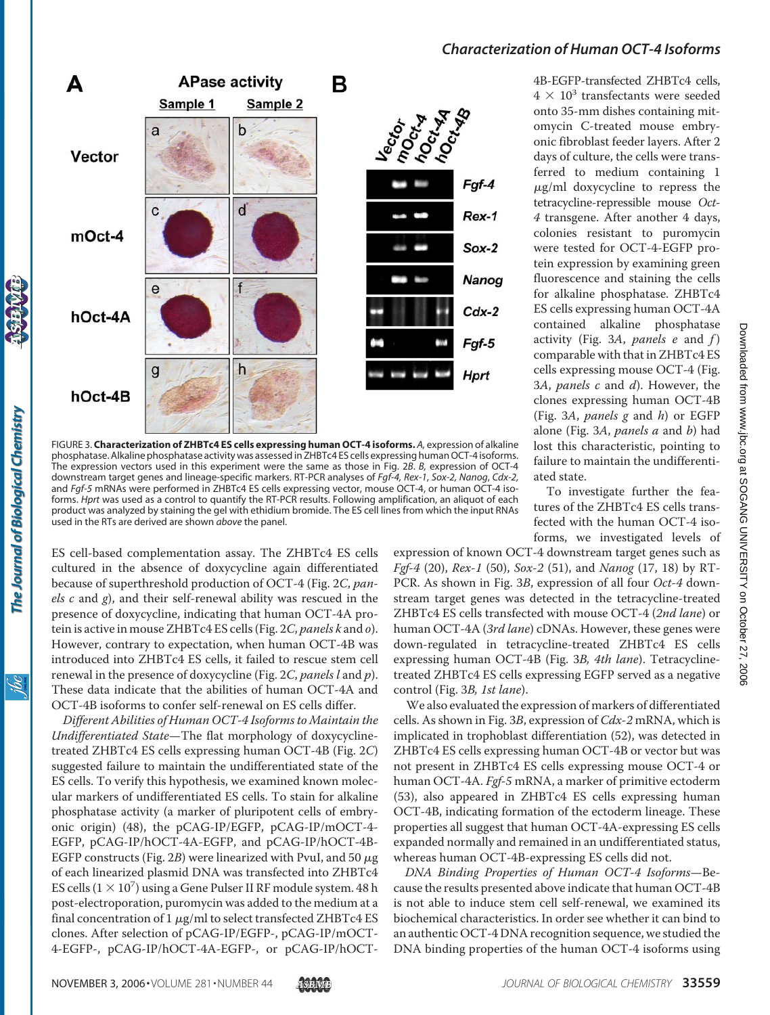



FIGURE 3. **Characterization of ZHBTc4 ES cells expressing human OCT-4 isoforms.** *A,* expression of alkaline phosphatase. Alkaline phosphatase activity was assessed in ZHBTc4 ES cells expressing human OCT-4 isoforms. The expression vectors used in this experiment were the same as those in Fig. 2*B*. *B,* expression of OCT-4 downstream target genes and lineage-specific markers. RT-PCR analyses of *Fgf-4, Rex-1*, *Sox-2, Nanog*, *Cdx-2,* and *Fgf-5* mRNAs were performed in ZHBTc4 ES cells expressing vector, mouse OCT-4, or human OCT-4 isoforms. *Hprt* was used as a control to quantify the RT-PCR results. Following amplification, an aliquot of each product was analyzed by staining the gel with ethidium bromide. The ES cell lines from which the input RNAs used in the RTs are derived are shown *above* the panel.

ES cell-based complementation assay. The ZHBTc4 ES cells cultured in the absence of doxycycline again differentiated because of superthreshold production of OCT-4 (Fig. 2*C*, *panels c* and *g*), and their self-renewal ability was rescued in the presence of doxycycline, indicating that human OCT-4A protein is active in mouse ZHBTc4 ES cells (Fig. 2*C*, *panels k* and *o*). However, contrary to expectation, when human OCT-4B was introduced into ZHBTc4 ES cells, it failed to rescue stem cell renewal in the presence of doxycycline (Fig. 2*C*, *panels l* and *p*). These data indicate that the abilities of human OCT-4A and OCT-4B isoforms to confer self-renewal on ES cells differ.

*Different Abilities of Human OCT-4 Isoforms to Maintain the Undifferentiated State*—The flat morphology of doxycyclinetreated ZHBTc4 ES cells expressing human OCT-4B (Fig. 2*C*) suggested failure to maintain the undifferentiated state of the ES cells. To verify this hypothesis, we examined known molecular markers of undifferentiated ES cells. To stain for alkaline phosphatase activity (a marker of pluripotent cells of embryonic origin) (48), the pCAG-IP/EGFP, pCAG-IP/mOCT-4- EGFP, pCAG-IP/hOCT-4A-EGFP, and pCAG-IP/hOCT-4B-EGFP constructs (Fig.  $2B$ ) were linearized with PvuI, and 50  $\mu$ g of each linearized plasmid DNA was transfected into ZHBTc4 ES cells  $(1 \times 10^7)$  using a Gene Pulser II RF module system. 48 h post-electroporation, puromycin was added to the medium at a final concentration of  $1 \mu g/ml$  to select transfected ZHBTc4 ES clones. After selection of pCAG-IP/EGFP-, pCAG-IP/mOCT-4-EGFP-, pCAG-IP/hOCT-4A-EGFP-, or pCAG-IP/hOCT-

4B-EGFP-transfected ZHBTc4 cells,  $4 \times 10^3$  transfectants were seeded onto 35-mm dishes containing mitomycin C-treated mouse embryonic fibroblast feeder layers. After 2 days of culture, the cells were transferred to medium containing 1  $\mu$ g/ml doxycycline to repress the tetracycline-repressible mouse *Oct-4* transgene. After another 4 days, colonies resistant to puromycin were tested for OCT-4-EGFP protein expression by examining green fluorescence and staining the cells for alkaline phosphatase. ZHBTc4 ES cells expressing human OCT-4A contained alkaline phosphatase activity (Fig. 3*A*, *panels e* and *f* ) comparable with that in ZHBTc4 ES cells expressing mouse OCT-4 (Fig. 3*A*, *panels c* and *d*). However, the clones expressing human OCT-4B (Fig. 3*A*, *panels g* and *h*) or EGFP alone (Fig. 3*A*, *panels a* and *b*) had lost this characteristic, pointing to failure to maintain the undifferentiated state.

To investigate further the features of the ZHBTc4 ES cells transfected with the human OCT-4 isoforms, we investigated levels of

expression of known OCT-4 downstream target genes such as *Fgf-4* (20), *Rex-1* (50), *Sox-2* (51), and *Nanog* (17, 18) by RT-PCR. As shown in Fig. 3*B*, expression of all four *Oct-4* downstream target genes was detected in the tetracycline-treated ZHBTc4 ES cells transfected with mouse OCT-4 (*2nd lane*) or human OCT-4A (*3rd lane*) cDNAs. However, these genes were down-regulated in tetracycline-treated ZHBTc4 ES cells expressing human OCT-4B (Fig. 3*B, 4th lane*). Tetracyclinetreated ZHBTc4 ES cells expressing EGFP served as a negative control (Fig. 3*B, 1st lane*).

We also evaluated the expression of markers of differentiated cells. As shown in Fig. 3*B*, expression of *Cdx-2* mRNA, which is implicated in trophoblast differentiation (52), was detected in ZHBTc4 ES cells expressing human OCT-4B or vector but was not present in ZHBTc4 ES cells expressing mouse OCT-4 or human OCT-4A. *Fgf-5* mRNA, a marker of primitive ectoderm (53), also appeared in ZHBTc4 ES cells expressing human OCT-4B, indicating formation of the ectoderm lineage. These properties all suggest that human OCT-4A-expressing ES cells expanded normally and remained in an undifferentiated status, whereas human OCT-4B-expressing ES cells did not.

*DNA Binding Properties of Human OCT-4 Isoforms*—Because the results presented above indicate that human OCT-4B is not able to induce stem cell self-renewal, we examined its biochemical characteristics. In order see whether it can bind to an authentic OCT-4 DNA recognition sequence, we studied the DNA binding properties of the human OCT-4 isoforms using

The Journal of Biological Chemistry

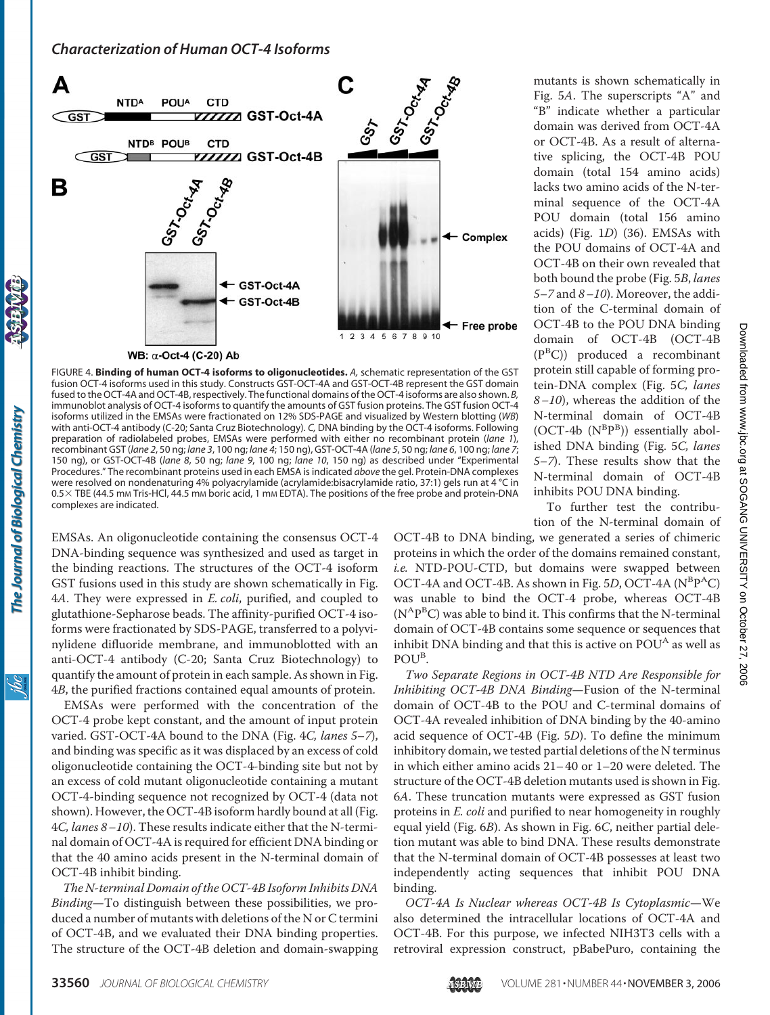

FIGURE 4. **Binding of human OCT-4 isoforms to oligonucleotides.** *A,* schematic representation of the GST fusion OCT-4 isoforms used in this study. Constructs GST-OCT-4A and GST-OCT-4B represent the GST domain fused to the OCT-4A and OCT-4B, respectively. The functional domains of the OCT-4 isoforms are also shown. *B,* immunoblot analysis of OCT-4 isoforms to quantify the amounts of GST fusion proteins. The GST fusion OCT-4 isoforms utilized in the EMSAs were fractionated on 12% SDS-PAGE and visualized by Western blotting (*WB*) with anti-OCT-4 antibody (C-20; Santa Cruz Biotechnology). *C,* DNA binding by the OCT-4 isoforms. Following preparation of radiolabeled probes, EMSAs were performed with either no recombinant protein (*lane 1*), recombinant GST (*lane 2*, 50 ng; *lane 3*, 100 ng; *lane 4*; 150 ng), GST-OCT-4A (*lane 5*, 50 ng; *lane 6*, 100 ng; *lane 7*; 150 ng), or GST-OCT-4B (*lane 8*, 50 ng; *lane 9*, 100 ng; *lane 10*, 150 ng) as described under "Experimental Procedures." The recombinant proteins used in each EMSA is indicated *above* the gel. Protein-DNA complexes were resolved on nondenaturing 4% polyacrylamide (acrylamide:bisacrylamide ratio, 37:1) gels run at 4 °C in 0.5 X TBE (44.5 mm Tris-HCl, 44.5 mm boric acid, 1 mm EDTA). The positions of the free probe and protein-DNA complexes are indicated.

EMSAs. An oligonucleotide containing the consensus OCT-4 DNA-binding sequence was synthesized and used as target in the binding reactions. The structures of the OCT-4 isoform GST fusions used in this study are shown schematically in Fig. 4*A*. They were expressed in *E. coli*, purified, and coupled to glutathione-Sepharose beads. The affinity-purified OCT-4 isoforms were fractionated by SDS-PAGE, transferred to a polyvinylidene difluoride membrane, and immunoblotted with an anti-OCT-4 antibody (C-20; Santa Cruz Biotechnology) to quantify the amount of protein in each sample. As shown in Fig. 4*B*, the purified fractions contained equal amounts of protein.

EMSAs were performed with the concentration of the OCT-4 probe kept constant, and the amount of input protein varied. GST-OCT-4A bound to the DNA (Fig. 4*C, lanes 5–7*), and binding was specific as it was displaced by an excess of cold oligonucleotide containing the OCT-4-binding site but not by an excess of cold mutant oligonucleotide containing a mutant OCT-4-binding sequence not recognized by OCT-4 (data not shown). However, the OCT-4B isoform hardly bound at all (Fig. 4*C, lanes 8 –10*). These results indicate either that the N-terminal domain of OCT-4A is required for efficient DNA binding or that the 40 amino acids present in the N-terminal domain of OCT-4B inhibit binding.

*The N-terminal Domain of the OCT-4B Isoform Inhibits DNA Binding*—To distinguish between these possibilities, we produced a number of mutants with deletions of the N or C termini of OCT-4B, and we evaluated their DNA binding properties. The structure of the OCT-4B deletion and domain-swapping mutants is shown schematically in Fig. 5*A*. The superscripts "A" and "B" indicate whether a particular domain was derived from OCT-4A or OCT-4B. As a result of alternative splicing, the OCT-4B POU domain (total 154 amino acids) lacks two amino acids of the N-terminal sequence of the OCT-4A POU domain (total 156 amino acids) (Fig. 1*D*) (36). EMSAs with the POU domains of OCT-4A and OCT-4B on their own revealed that both bound the probe (Fig. 5*B*, *lanes 5–7* and *8 –10*). Moreover, the addition of the C-terminal domain of OCT-4B to the POU DNA binding domain of OCT-4B (OCT-4B (P<sup>B</sup> C)) produced a recombinant protein still capable of forming protein-DNA complex (Fig. 5*C, lanes 8 –10*), whereas the addition of the N-terminal domain of OCT-4B  $(OCT-4b (N^B P^B))$  essentially abolished DNA binding (Fig. 5*C, lanes 5–7*). These results show that the N-terminal domain of OCT-4B inhibits POU DNA binding.

To further test the contribution of the N-terminal domain of

OCT-4B to DNA binding, we generated a series of chimeric proteins in which the order of the domains remained constant, *i.e.* NTD-POU-CTD, but domains were swapped between OCT-4A and OCT-4B. As shown in Fig. 5D, OCT-4A (N<sup>B</sup>P<sup>A</sup>C) was unable to bind the OCT-4 probe, whereas OCT-4B  $(N^AP^BC)$  was able to bind it. This confirms that the N-terminal domain of OCT-4B contains some sequence or sequences that inhibit DNA binding and that this is active on  $POU<sup>A</sup>$  as well as POU<sup>B</sup>.

*Two Separate Regions in OCT-4B NTD Are Responsible for Inhibiting OCT-4B DNA Binding*—Fusion of the N-terminal domain of OCT-4B to the POU and C-terminal domains of OCT-4A revealed inhibition of DNA binding by the 40-amino acid sequence of OCT-4B (Fig. 5*D*). To define the minimum inhibitory domain, we tested partial deletions of the N terminus in which either amino acids 21– 40 or 1–20 were deleted. The structure of the OCT-4B deletion mutants used is shown in Fig. 6*A*. These truncation mutants were expressed as GST fusion proteins in *E. coli* and purified to near homogeneity in roughly equal yield (Fig. 6*B*). As shown in Fig. 6*C*, neither partial deletion mutant was able to bind DNA. These results demonstrate that the N-terminal domain of OCT-4B possesses at least two independently acting sequences that inhibit POU DNA binding.

*OCT-4A Is Nuclear whereas OCT-4B Is Cytoplasmic*—We also determined the intracellular locations of OCT-4A and OCT-4B. For this purpose, we infected NIH3T3 cells with a retroviral expression construct, pBabePuro, containing the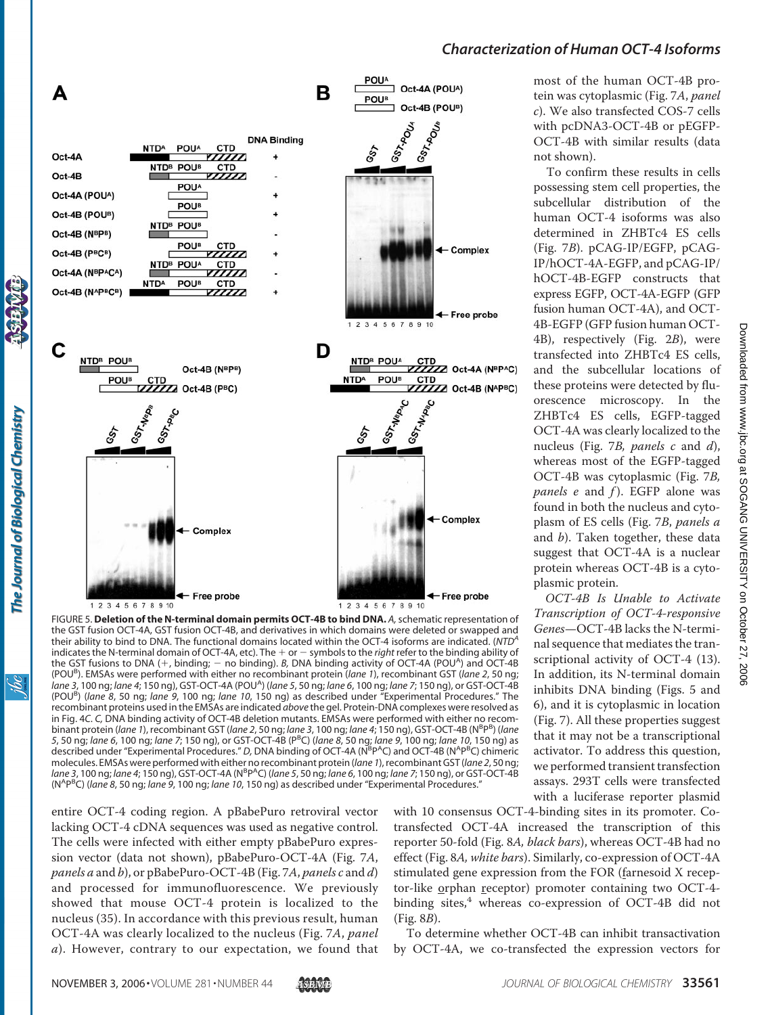

FIGURE 5. **Deletion of the N-terminal domain permits OCT-4B to bind DNA.** *A,*schematic representation of the GST fusion OCT-4A, GST fusion OCT-4B, and derivatives in which domains were deleted or swapped and their ability to bind to DNA. The functional domains located within the OCT-4 isoforms are indicated. (*NTD<sup>A</sup>* indicates the N-terminal domain of OCT-4A, etc). The  $+$  or  $-$  symbols to the *right* refer to the binding ability of the GST fusions to DNA (+, binding; - no binding). *B*, DNA binding activity of OCT-4A (POU<sup>A</sup>) and OCT-4B (POUB ). EMSAs were performed with either no recombinant protein (*lane 1*), recombinant GST (*lane 2*, 50 ng; *lane 3*, 100 ng; *lane 4*; 150 ng), GST-OCT-4A (POUA ) (*lane 5*, 50 ng; *lane 6*, 100 ng; *lane 7*; 150 ng), or GST-OCT-4B (POU<sup>B</sup> ) (*lane 8*, 50 ng; *lane 9*, 100 ng; *lane 10*, 150 ng) as described under "Experimental Procedures." The recombinant proteins used in the EMSAs are indicated *above* the gel. Protein-DNA complexes were resolved as in Fig. 4*C*. *C,* DNA binding activity of OCT-4B deletion mutants. EMSAs were performed with either no recombinant protein (*lane 1*), recombinant GST (*lane 2*, 50 ng; *lane 3*, 100 ng; *lane 4*; 150 ng), GST-OCT-4B (N<sup>B</sup>P<sup>B</sup>) (*lane 5*, 50 ng; *lane 6*, 100 ng; *lane 7*; 150 ng), or GST-OCT-4B (P<sup>B</sup> C) (*lane 8*, 50 ng; *lane 9*, 100 ng; *lane 10*, 150 ng) as described under "Experimental Procedures." D, DNA binding of OCT-4A (N<sup>B</sup>P<sup>A</sup>C) and OCT-4B (N<sup>APB</sup>C) chimeric molecules. EMSAs were performed with either no recombinant protein (*lane 1*), recombinant GST (*lane 2*, 50 ng; *lane 3, 100 ng; lane 4; 150 ng), GST-OCT-4A (N<sup>B</sup>P<sup>A</sup>C) (lane 5, 50 ng; lane 6, 100 ng; lane 7; 150 ng), or GST-OCT-4B* (NA PB C) (*lane 8*, 50 ng; *lane 9*, 100 ng; *lane 10*, 150 ng) as described under "Experimental Procedures."

entire OCT-4 coding region. A pBabePuro retroviral vector lacking OCT-4 cDNA sequences was used as negative control. The cells were infected with either empty pBabePuro expression vector (data not shown), pBabePuro-OCT-4A (Fig. 7*A*, *panels a* and *b*), or pBabePuro-OCT-4B (Fig. 7*A*, *panels c* and *d*) and processed for immunofluorescence. We previously showed that mouse OCT-4 protein is localized to the nucleus (35). In accordance with this previous result, human OCT-4A was clearly localized to the nucleus (Fig. 7*A*, *panel a*). However, contrary to our expectation, we found that with 10 consensus OCT-4-binding sites in its promoter. Cotransfected OCT-4A increased the transcription of this reporter 50-fold (Fig. 8*A, black bars*), whereas OCT-4B had no effect (Fig. 8*A, white bars*). Similarly, co-expression of OCT-4A stimulated gene expression from the FOR (farnesoid X receptor-like orphan receptor) promoter containing two OCT-4 binding sites, $4$  whereas co-expression of OCT-4B did not (Fig. 8*B*).

To determine whether OCT-4B can inhibit transactivation by OCT-4A, we co-transfected the expression vectors for

most of the human OCT-4B protein was cytoplasmic (Fig. 7*A*, *panel c*). We also transfected COS-7 cells with pcDNA3-OCT-4B or pEGFP-OCT-4B with similar results (data not shown).

To confirm these results in cells possessing stem cell properties, the subcellular distribution of the human OCT-4 isoforms was also determined in ZHBTc4 ES cells (Fig. 7*B*). pCAG-IP/EGFP, pCAG-IP/hOCT-4A-EGFP, and pCAG-IP/ hOCT-4B-EGFP constructs that express EGFP, OCT-4A-EGFP (GFP fusion human OCT-4A), and OCT-4B-EGFP (GFP fusion human OCT-4B), respectively (Fig. 2*B*), were transfected into ZHBTc4 ES cells, and the subcellular locations of these proteins were detected by fluorescence microscopy. In the ZHBTc4 ES cells, EGFP-tagged OCT-4A was clearly localized to the nucleus (Fig. 7*B, panels c* and *d*), whereas most of the EGFP-tagged OCT-4B was cytoplasmic (Fig. 7*B, panels e* and *f* ). EGFP alone was found in both the nucleus and cytoplasm of ES cells (Fig. 7*B*, *panels a* and *b*). Taken together, these data suggest that OCT-4A is a nuclear protein whereas OCT-4B is a cytoplasmic protein.

*OCT-4B Is Unable to Activate Transcription of OCT-4-responsive Genes*—OCT-4B lacks the N-terminal sequence that mediates the transcriptional activity of OCT-4 (13). In addition, its N-terminal domain inhibits DNA binding (Figs. 5 and 6), and it is cytoplasmic in location (Fig. 7). All these properties suggest that it may not be a transcriptional activator. To address this question, we performed transient transfection assays. 293T cells were transfected with a luciferase reporter plasmid

The Journal of Biological Chemistry

ibc

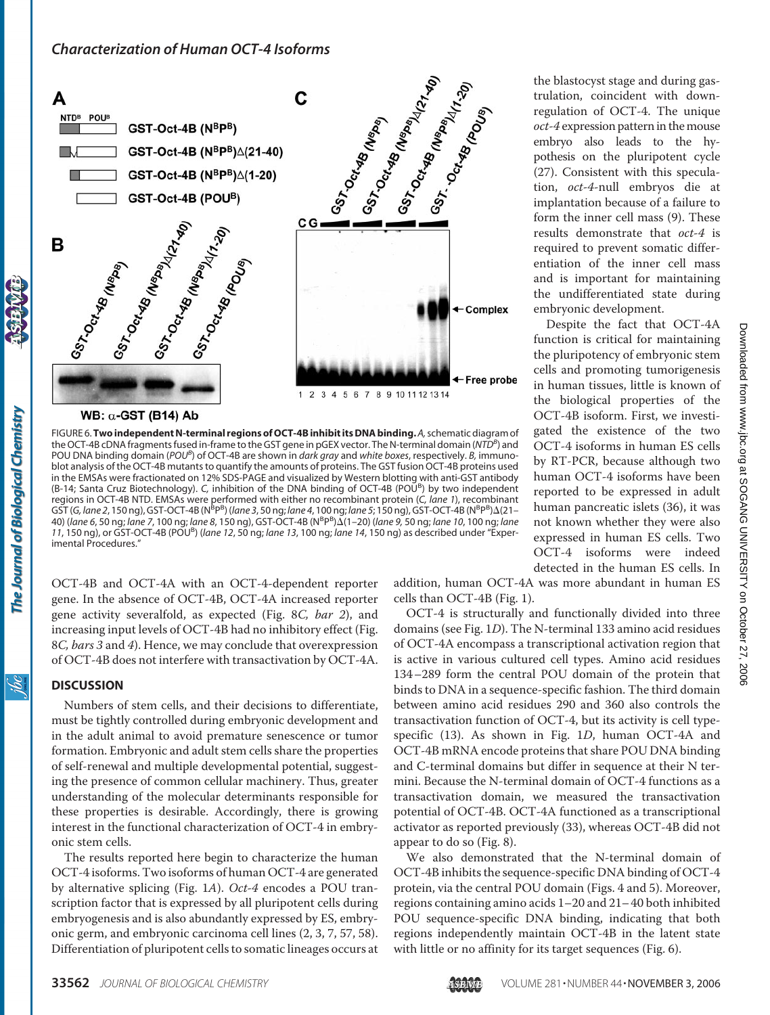

FIGURE 6.**TwoindependentN-terminal regions of OCT-4BinhibititsDNA binding.***A,*schematic diagram of the OCT-4B cDNA fragments fused in-frame to the GST gene in pGEX vector. The N-terminal domain (NTD<sup>B</sup>) and POU DNA binding domain (*POUB* ) of OCT-4B are shown in *dark gray* and *white boxes*, respectively. *B,* immunoblot analysis of the OCT-4B mutants to quantify the amounts of proteins. The GST fusion OCT-4B proteins used in the EMSAs were fractionated on 12% SDS-PAGE and visualized by Western blotting with anti-GST antibody (B-14; Santa Cruz Biotechnology). C, inhibition of the DNA binding of OCT-4B (POU<sup>B</sup>) by two independent regions in OCT-4B NTD. EMSAs were performed with either no recombinant protein (*C, lane 1*), recombinant GST (G, lane 2, 150 ng), GST-OCT-4B (N<sup>B</sup>P<sup>B</sup>) (lane 3, 50 ng; lane 4, 100 ng; lane 5; 150 ng), GST-OCT-4B (N<sup>B</sup>P<sup>B</sup>)Δ(21– 40) (lane 6, 50 ng; lane 7, 100 ng; lane 8, 150 ng), GST-OCT-4B (N<sup>B</sup>P<sup>B</sup>)∆(1–20) (lane 9, 50 ng; lane 10, 100 ng; lane *11*, 150 ng), or GST-OCT-4B (POU<sup>B</sup> ) (*lane 12*, 50 ng; *lane 13*, 100 ng; *lane 14*, 150 ng) as described under "Experimental Procedures."

OCT-4B and OCT-4A with an OCT-4-dependent reporter gene. In the absence of OCT-4B, OCT-4A increased reporter gene activity severalfold, as expected (Fig. 8*C, bar 2*), and increasing input levels of OCT-4B had no inhibitory effect (Fig. 8*C, bars 3* and *4*). Hence, we may conclude that overexpression of OCT-4B does not interfere with transactivation by OCT-4A.

### **DISCUSSION**

The Journal of Biological Chemistry

ibc

Numbers of stem cells, and their decisions to differentiate, must be tightly controlled during embryonic development and in the adult animal to avoid premature senescence or tumor formation. Embryonic and adult stem cells share the properties of self-renewal and multiple developmental potential, suggesting the presence of common cellular machinery. Thus, greater understanding of the molecular determinants responsible for these properties is desirable. Accordingly, there is growing interest in the functional characterization of OCT-4 in embryonic stem cells.

The results reported here begin to characterize the human OCT-4 isoforms. Two isoforms of human OCT-4 are generated by alternative splicing (Fig. 1*A*). *Oct-4* encodes a POU transcription factor that is expressed by all pluripotent cells during embryogenesis and is also abundantly expressed by ES, embryonic germ, and embryonic carcinoma cell lines (2, 3, 7, 57, 58). Differentiation of pluripotent cells to somatic lineages occurs at

the blastocyst stage and during gastrulation, coincident with downregulation of OCT-4. The unique *oct-4* expression pattern in the mouse embryo also leads to the hypothesis on the pluripotent cycle (27). Consistent with this speculation, *oct-4*-null embryos die at implantation because of a failure to form the inner cell mass (9). These results demonstrate that *oct-4* is required to prevent somatic differentiation of the inner cell mass and is important for maintaining the undifferentiated state during embryonic development.

Despite the fact that OCT-4A function is critical for maintaining the pluripotency of embryonic stem cells and promoting tumorigenesis in human tissues, little is known of the biological properties of the OCT-4B isoform. First, we investigated the existence of the two OCT-4 isoforms in human ES cells by RT-PCR, because although two human OCT-4 isoforms have been reported to be expressed in adult human pancreatic islets (36), it was not known whether they were also expressed in human ES cells. Two OCT-4 isoforms were indeed detected in the human ES cells. In

addition, human OCT-4A was more abundant in human ES cells than OCT-4B (Fig. 1).

OCT-4 is structurally and functionally divided into three domains (see Fig. 1*D*). The N-terminal 133 amino acid residues of OCT-4A encompass a transcriptional activation region that is active in various cultured cell types. Amino acid residues 134–289 form the central POU domain of the protein that binds to DNA in a sequence-specific fashion. The third domain between amino acid residues 290 and 360 also controls the transactivation function of OCT-4, but its activity is cell typespecific (13). As shown in Fig. 1*D*, human OCT-4A and OCT-4B mRNA encode proteins that share POU DNA binding and C-terminal domains but differ in sequence at their N termini. Because the N-terminal domain of OCT-4 functions as a transactivation domain, we measured the transactivation potential of OCT-4B. OCT-4A functioned as a transcriptional activator as reported previously (33), whereas OCT-4B did not appear to do so (Fig. 8).

We also demonstrated that the N-terminal domain of OCT-4B inhibits the sequence-specific DNA binding of OCT-4 protein, via the central POU domain (Figs. 4 and 5). Moreover, regions containing amino acids 1–20 and 21– 40 both inhibited POU sequence-specific DNA binding, indicating that both regions independently maintain OCT-4B in the latent state with little or no affinity for its target sequences (Fig. 6).

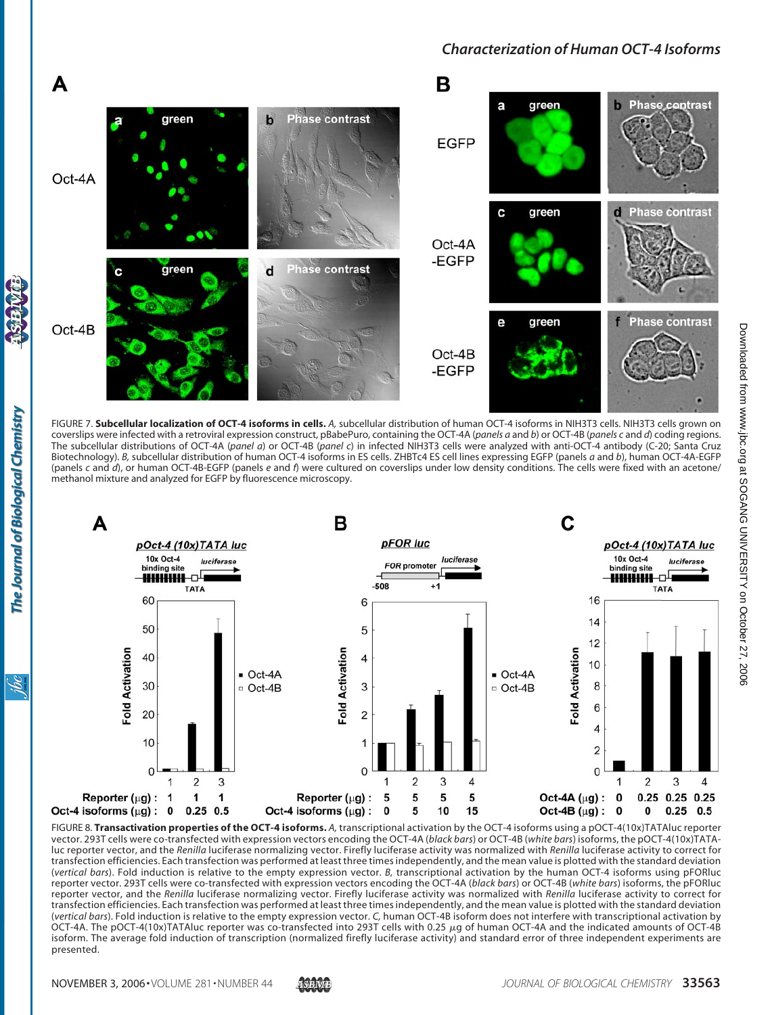

FIGURE 7. **Subcellular localization of OCT-4 isoforms in cells.** *A,* subcellular distribution of human OCT-4 isoforms in NIH3T3 cells. NIH3T3 cells grown on coverslips were infected with a retroviral expression construct, pBabePuro, containing the OCT-4A (*panels a* and *b*) or OCT-4B (*panels c* and *d*) coding regions. The subcellular distributions of OCT-4A (*panel a*) or OCT-4B (*panel c*) in infected NIH3T3 cells were analyzed with anti-OCT-4 antibody (C-20; Santa Cruz Biotechnology). *B,* subcellular distribution of human OCT-4 isoforms in ES cells. ZHBTc4 ES cell lines expressing EGFP (panels *a* and *b*), human OCT-4A-EGFP (panels *c* and *d*), or human OCT-4B-EGFP (panels *e* and *f*) were cultured on coverslips under low density conditions. The cells were fixed with an acetone/ methanol mixture and analyzed for EGFP by fluorescence microscopy.



FIGURE 8. **Transactivation properties of the OCT-4 isoforms.** *A,* transcriptional activation by the OCT-4 isoforms using a pOCT-4(10x)TATAluc reporter vector. 293T cells were co-transfected with expression vectors encoding the OCT-4A (*black bars*) or OCT-4B (*white bars*) isoforms, the pOCT-4(10x)TATAluc reporter vector, and the *Renilla* luciferase normalizing vector. Firefly luciferase activity was normalized with *Renilla* luciferase activity to correct for transfection efficiencies. Each transfection was performed at least three times independently, and the mean value is plotted with the standard deviation (*vertical bars*). Fold induction is relative to the empty expression vector. *B,* transcriptional activation by the human OCT-4 isoforms using pFORluc reporter vector. 293T cells were co-transfected with expression vectors encoding the OCT-4A (*black bars*) or OCT-4B (*white bars*) isoforms, the pFORluc reporter vector, and the *Renilla* luciferase normalizing vector. Firefly luciferase activity was normalized with *Renilla* luciferase activity to correct for transfection efficiencies. Each transfection was performed at least three times independently, and the mean value is plotted with the standard deviation (*vertical bars*). Fold induction is relative to the empty expression vector. *C,* human OCT-4B isoform does not interfere with transcriptional activation by OCT-4A. The pOCT-4(10x)TATAluc reporter was co-transfected into 293T cells with 0.25 µg of human OCT-4A and the indicated amounts of OCT-4B isoform. The average fold induction of transcription (normalized firefly luciferase activity) and standard error of three independent experiments are presented.

The Journal of Biological Chemistry

<u>isi</u>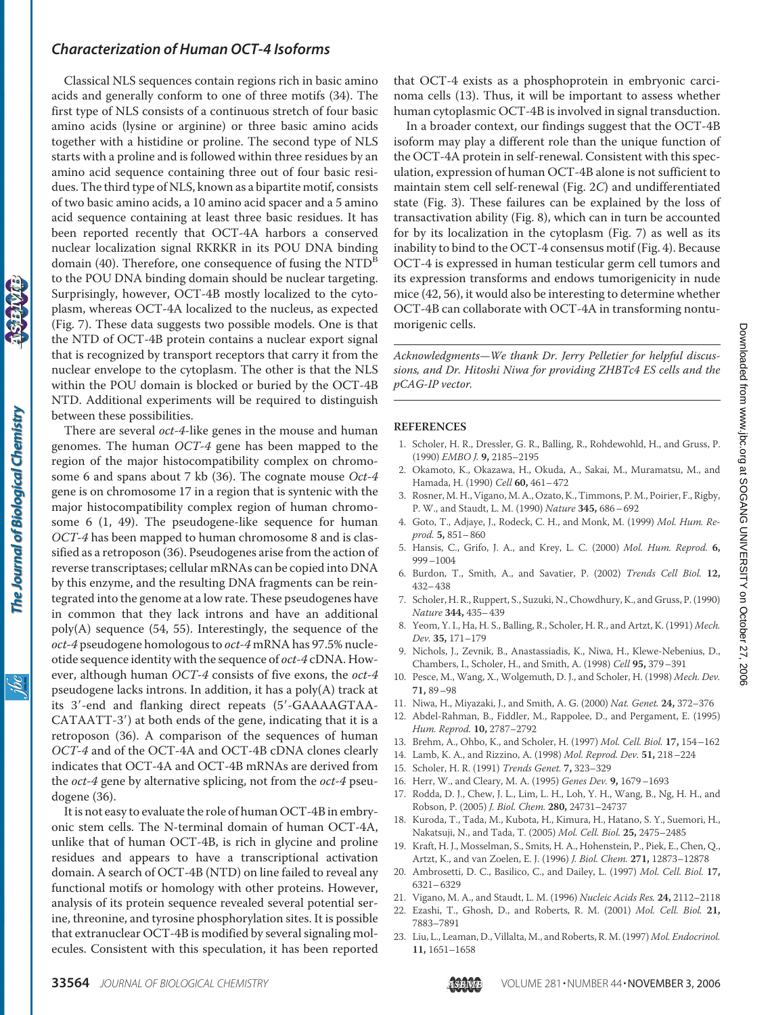Classical NLS sequences contain regions rich in basic amino acids and generally conform to one of three motifs (34). The first type of NLS consists of a continuous stretch of four basic amino acids (lysine or arginine) or three basic amino acids together with a histidine or proline. The second type of NLS starts with a proline and is followed within three residues by an amino acid sequence containing three out of four basic residues. The third type of NLS, known as a bipartite motif, consists of two basic amino acids, a 10 amino acid spacer and a 5 amino acid sequence containing at least three basic residues. It has been reported recently that OCT-4A harbors a conserved nuclear localization signal RKRKR in its POU DNA binding domain (40). Therefore, one consequence of fusing the  $NTD^B$ to the POU DNA binding domain should be nuclear targeting. Surprisingly, however, OCT-4B mostly localized to the cytoplasm, whereas OCT-4A localized to the nucleus, as expected (Fig. 7). These data suggests two possible models. One is that the NTD of OCT-4B protein contains a nuclear export signal that is recognized by transport receptors that carry it from the nuclear envelope to the cytoplasm. The other is that the NLS within the POU domain is blocked or buried by the OCT-4B NTD. Additional experiments will be required to distinguish between these possibilities.

There are several *oct-4*-like genes in the mouse and human genomes. The human *OCT-4* gene has been mapped to the region of the major histocompatibility complex on chromosome 6 and spans about 7 kb (36). The cognate mouse *Oct-4* gene is on chromosome 17 in a region that is syntenic with the major histocompatibility complex region of human chromosome 6 (1, 49). The pseudogene-like sequence for human *OCT-4* has been mapped to human chromosome 8 and is classified as a retroposon (36). Pseudogenes arise from the action of reverse transcriptases; cellular mRNAs can be copied into DNA by this enzyme, and the resulting DNA fragments can be reintegrated into the genome at a low rate. These pseudogenes have in common that they lack introns and have an additional poly(A) sequence (54, 55). Interestingly, the sequence of the *oct-4* pseudogene homologous to *oct-4* mRNA has 97.5% nucleotide sequence identity with the sequence of *oct-4* cDNA. However, although human *OCT-4* consists of five exons, the *oct-4* pseudogene lacks introns. In addition, it has a poly(A) track at its 3'-end and flanking direct repeats (5'-GAAAAGTAA-CATAATT-3) at both ends of the gene, indicating that it is a retroposon (36). A comparison of the sequences of human *OCT-4* and of the OCT-4A and OCT-4B cDNA clones clearly indicates that OCT-4A and OCT-4B mRNAs are derived from the *oct-4* gene by alternative splicing, not from the *oct-4* pseudogene (36).

The Journal of Biological Chemistry

<u>жі</u>

It is not easy to evaluate the role of human OCT-4B in embryonic stem cells. The N-terminal domain of human OCT-4A, unlike that of human OCT-4B, is rich in glycine and proline residues and appears to have a transcriptional activation domain. A search of OCT-4B (NTD) on line failed to reveal any functional motifs or homology with other proteins. However, analysis of its protein sequence revealed several potential serine, threonine, and tyrosine phosphorylation sites. It is possible that extranuclear OCT-4B is modified by several signaling molecules. Consistent with this speculation, it has been reported

that OCT-4 exists as a phosphoprotein in embryonic carcinoma cells (13). Thus, it will be important to assess whether human cytoplasmic OCT-4B is involved in signal transduction.

In a broader context, our findings suggest that the OCT-4B isoform may play a different role than the unique function of the OCT-4A protein in self-renewal. Consistent with this speculation, expression of human OCT-4B alone is not sufficient to maintain stem cell self-renewal (Fig. 2*C*) and undifferentiated state (Fig. 3). These failures can be explained by the loss of transactivation ability (Fig. 8), which can in turn be accounted for by its localization in the cytoplasm (Fig. 7) as well as its inability to bind to the OCT-4 consensus motif (Fig. 4). Because OCT-4 is expressed in human testicular germ cell tumors and its expression transforms and endows tumorigenicity in nude mice (42, 56), it would also be interesting to determine whether OCT-4B can collaborate with OCT-4A in transforming nontumorigenic cells.

*Acknowledgments—We thank Dr. Jerry Pelletier for helpful discussions, and Dr. Hitoshi Niwa for providing ZHBTc4 ES cells and the pCAG-IP vector.*

#### **REFERENCES**

- 1. Scholer, H. R., Dressler, G. R., Balling, R., Rohdewohld, H., and Gruss, P. (1990) *EMBO J.* **9,** 2185–2195
- 2. Okamoto, K., Okazawa, H., Okuda, A., Sakai, M., Muramatsu, M., and Hamada, H. (1990) *Cell* **60,** 461–472
- 3. Rosner, M. H., Vigano, M. A., Ozato, K., Timmons, P. M., Poirier, F., Rigby, P. W., and Staudt, L. M. (1990) *Nature* **345,** 686–692
- 4. Goto, T., Adjaye, J., Rodeck, C. H., and Monk, M. (1999) *Mol. Hum. Reprod.* **5,** 851–860
- 5. Hansis, C., Grifo, J. A., and Krey, L. C. (2000) *Mol. Hum. Reprod.* **6,** 999–1004
- 6. Burdon, T., Smith, A., and Savatier, P. (2002) *Trends Cell Biol.* **12,** 432–438
- 7. Scholer, H. R., Ruppert, S., Suzuki, N., Chowdhury, K., and Gruss, P. (1990) *Nature* **344,** 435–439
- 8. Yeom, Y. I., Ha, H. S., Balling, R., Scholer, H. R., and Artzt, K. (1991) *Mech. Dev.* **35,** 171–179
- 9. Nichols, J., Zevnik, B., Anastassiadis, K., Niwa, H., Klewe-Nebenius, D., Chambers, I., Scholer, H., and Smith, A. (1998) *Cell* **95,** 379–391
- 10. Pesce, M., Wang, X., Wolgemuth, D. J., and Scholer, H. (1998) *Mech. Dev.* **71,** 89–98
- 11. Niwa, H., Miyazaki, J., and Smith, A. G. (2000) *Nat. Genet.* **24,** 372–376
- 12. Abdel-Rahman, B., Fiddler, M., Rappolee, D., and Pergament, E. (1995) *Hum. Reprod.* **10,** 2787–2792
- 13. Brehm, A., Ohbo, K., and Scholer, H. (1997) *Mol. Cell. Biol.* **17,** 154–162
- 14. Lamb, K. A., and Rizzino, A. (1998) *Mol. Reprod. Dev.* **51,** 218–224
- 15. Scholer, H. R. (1991) *Trends Genet.* **7,** 323–329
- 16. Herr, W., and Cleary, M. A. (1995) *Genes Dev.* **9,** 1679–1693
- 17. Rodda, D. J., Chew, J. L., Lim, L. H., Loh, Y. H., Wang, B., Ng, H. H., and Robson, P. (2005) *J. Biol. Chem.* **280,** 24731–24737
- 18. Kuroda, T., Tada, M., Kubota, H., Kimura, H., Hatano, S. Y., Suemori, H., Nakatsuji, N., and Tada, T. (2005) *Mol. Cell. Biol.* **25,** 2475–2485
- 19. Kraft, H. J., Mosselman, S., Smits, H. A., Hohenstein, P., Piek, E., Chen, Q., Artzt, K., and van Zoelen, E. J. (1996) *J. Biol. Chem.* **271,** 12873–12878
- 20. Ambrosetti, D. C., Basilico, C., and Dailey, L. (1997) *Mol. Cell. Biol.* **17,** 6321–6329
- 21. Vigano, M. A., and Staudt, L. M. (1996) *Nucleic Acids Res.* **24,** 2112–2118
- 22. Ezashi, T., Ghosh, D., and Roberts, R. M. (2001) *Mol. Cell. Biol.* **21,** 7883–7891
- 23. Liu, L., Leaman, D., Villalta, M., and Roberts, R. M. (1997) *Mol. Endocrinol.* **11,** 1651–1658